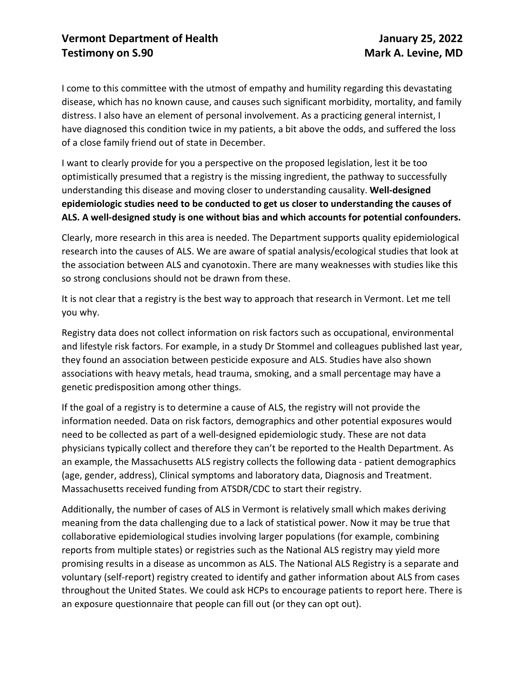I come to this committee with the utmost of empathy and humility regarding this devastating disease, which has no known cause, and causes such significant morbidity, mortality, and family distress. I also have an element of personal involvement. As a practicing general internist, I have diagnosed this condition twice in my patients, a bit above the odds, and suffered the loss of a close family friend out of state in December.

I want to clearly provide for you a perspective on the proposed legislation, lest it be too optimistically presumed that a registry is the missing ingredient, the pathway to successfully understanding this disease and moving closer to understanding causality. **Well-designed epidemiologic studies need to be conducted to get us closer to understanding the causes of ALS. A well-designed study is one without bias and which accounts for potential confounders.**

Clearly, more research in this area is needed. The Department supports quality epidemiological research into the causes of ALS. We are aware of spatial analysis/ecological studies that look at the association between ALS and cyanotoxin. There are many weaknesses with studies like this so strong conclusions should not be drawn from these.

It is not clear that a registry is the best way to approach that research in Vermont. Let me tell you why.

Registry data does not collect information on risk factors such as occupational, environmental and lifestyle risk factors. For example, in a study Dr Stommel and colleagues published last year, they found an association between pesticide exposure and ALS. Studies have also shown associations with heavy metals, head trauma, smoking, and a small percentage may have a genetic predisposition among other things.

If the goal of a registry is to determine a cause of ALS, the registry will not provide the information needed. Data on risk factors, demographics and other potential exposures would need to be collected as part of a well-designed epidemiologic study. These are not data physicians typically collect and therefore they can't be reported to the Health Department. As an example, the Massachusetts ALS registry collects the following data - patient demographics (age, gender, address), Clinical symptoms and laboratory data, Diagnosis and Treatment. Massachusetts received funding from ATSDR/CDC to start their registry.

Additionally, the number of cases of ALS in Vermont is relatively small which makes deriving meaning from the data challenging due to a lack of statistical power. Now it may be true that collaborative epidemiological studies involving larger populations (for example, combining reports from multiple states) or registries such as the National ALS registry may yield more promising results in a disease as uncommon as ALS. The National ALS Registry is a separate and voluntary (self-report) registry created to identify and gather information about ALS from cases throughout the United States. We could ask HCPs to encourage patients to report here. There is an exposure questionnaire that people can fill out (or they can opt out).